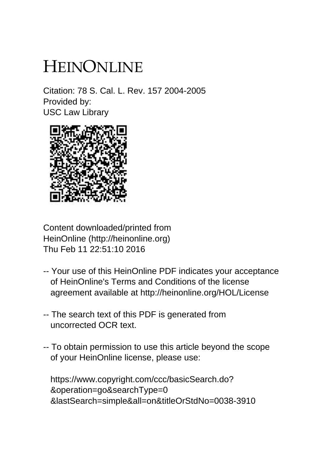# HEINONLINE

Citation: 78 S. Cal. L. Rev. 157 2004-2005 Provided by: USC Law Library



Content downloaded/printed from HeinOnline (http://heinonline.org) Thu Feb 11 22:51:10 2016

- -- Your use of this HeinOnline PDF indicates your acceptance of HeinOnline's Terms and Conditions of the license agreement available at http://heinonline.org/HOL/License
- -- The search text of this PDF is generated from uncorrected OCR text.
- -- To obtain permission to use this article beyond the scope of your HeinOnline license, please use:

 https://www.copyright.com/ccc/basicSearch.do? &operation=go&searchType=0 &lastSearch=simple&all=on&titleOrStdNo=0038-3910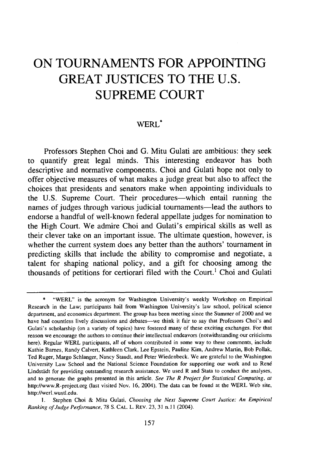# **ON TOURNAMENTS FOR APPOINTING GREAT JUSTICES TO THE U.S. SUPREME COURT**

## WERL\*

Professors Stephen Choi and G. Mitu Gulati are ambitious: they seek to quantify great legal minds. This interesting endeavor has both descriptive and normative components. Choi and Gulati hope not only to offer objective measures of what makes a judge great but also to affect the choices that presidents and senators make when appointing individuals to the U.S. Supreme Court. Their procedures—which entail running the names of judges through various judicial tournaments—lead the authors to endorse a handful of well-known federal appellate judges for nomination to the High Court. We admire Choi and Gulati's empirical skills as well as their clever take on an important issue. The ultimate question, however, is whether the current system does any better than the authors' tournament in predicting skills that include the ability to compromise and negotiate, a talent for shaping national policy, and a gift for choosing among the thousands of petitions for certiorari filed with the Court.' Choi and Gulati

<sup>\*</sup> "WERL" is the acronym for Washington University's weekly Workshop on Empirical Research in the Law; participants hail from Washington University's law school, political science department, and economics department. The group has been meeting since the Summer of 2000 and we have had countless lively discussions and debates—we think it fair to say that Professors Choi's and Gulati's scholarship (on a variety of topics) have fostered many of these exciting exchanges. For that reason we encourage the authors to continue their intellectual endeavors (notwithstanding our criticisms here). Regular WERL participants, all of whom contributed in some way to these comments, include Kathie Barnes, Randy Calvert, Kathleen Clark, Lee Epstein, Pauline Kim, Andrew Martin, Bob Pollak, Ted Ruger, Margo Schlanger, Nancy Staudt, and Peter Wiedenbeck. We are grateful to the Washington University Law School and the National Science Foundation for supporting our work and to Ren6 Lindstadt for providing outstanding research assistance. We used R and Stata to conduct the analyses, and to generate the graphs presented in this article. *See The R Project for Statistical Computing, at* http://www.R-project.org (last visited Nov. 16, 2004). The data can be found at the WERL Web site, http://werl.wustl.edu.

**I.** Stephen Choi & Mitu Gulati, *Choosing the Next Supreme Court Justice: An Empirical Ranking of Judge Performance,* 78 **S.** CAL. L. REV. 23, 31 n. **11** (2004).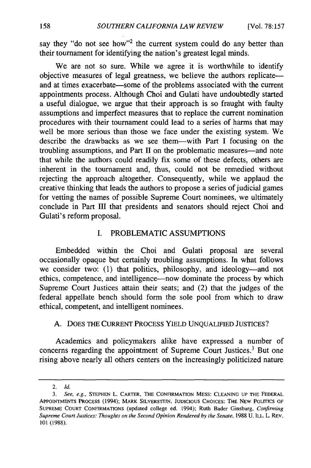say they "do not see how"<sup>2</sup> the current system could do any better than their tournament for identifying the nation's greatest legal minds.

We are not so sure. While we agree it is worthwhile to identify objective measures of legal greatness, we believe the authors replicate and at times exacerbate—some of the problems associated with the current appointments process. Although Choi and Gulati have undoubtedly started a useful dialogue, we argue that their approach is so fraught with faulty assumptions and imperfect measures that to replace the current nomination procedures with their tournament could lead to a series of harms that may well be more serious than those we face under the existing system. We describe the drawbacks as we see them-with Part I focusing on the troubling assumptions, and Part II on the problematic measures-and note that while the authors could readily fix some of these defects, others are inherent in the tournament and, thus, could not be remedied without rejecting the approach altogether. Consequently, while we applaud the creative thinking that leads the authors to propose a series of judicial games for vetting the names of possible Supreme Court nominees, we ultimately conclude in Part **III** that presidents and senators should reject Choi and Gulati's reform proposal.

#### I. PROBLEMATIC ASSUMPTIONS

Embedded within the Choi and Gulati proposal are several occasionally opaque but certainly troubling assumptions. In what follows we consider two: (1) that politics, philosophy, and ideology—and not ethics, competence, and intelligence-now dominate the process by which Supreme Court Justices attain their seats; and (2) that the judges of the federal appellate bench should form the sole pool from which to draw ethical, competent, and intelligent nominees.

#### A. DOES THE CURRENT PROCESS YIELD UNQUALIFIED JUSTICES?

Academics and policymakers alike have expressed a number of concerns regarding the appointment of Supreme Court Justices.<sup>3</sup> But one rising above nearly all others centers on the increasingly politicized nature

<sup>2.</sup> *Id.*

*<sup>3.</sup> See, e.g.,* **STEPHEN** L. CARTER, THE **CONFIRMATION MESS: CLEANING UP** THE FEDERAL APPOINTMENTS PROCESS (1994); MARK **SILVERSTEIN, JUDICIOUS CHOICES:** THE NEW POLITICS OF **SUPREME COURT CONFIRMATIONS** (updated college ed. 1994); Ruth Bader Ginsburg, Confirming Supreme Court Justices: *Thoughts on the Second Opinion Rendered by the Senate,* 1988 U. ILL. L. REV. 101 (1988).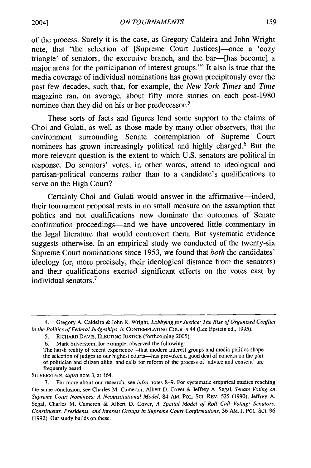of the process. Surely it is the case, as Gregory Caldeira and John Wright note, that "the selection of [Supreme Court Justices]—once a 'cozy triangle' of senators, the execucive branch, and the bar--[has become] a major arena for the participation of interest groups."4 It also is true that the media coverage of individual nominations has grown precipitously over the past few decades, such that, for example, the *New York Times* and *Time* magazine ran, on average, about fifty more stories on each post-1980 nominee than they did on his or her predecessor.<sup>5</sup>

These sorts of facts and figures lend some support to the claims of Choi and Gulati, as well as those made by many other observers, that the environment surrounding Senate contemplation of Supreme Court nominees has grown increasingly political and highly charged.6 But the more relevant question is the extent to which U.S. senators are political in response. Do senators' votes, in other words, attend to ideological and partisan-political concerns rather than to a candidate's qualifications to serve on the High Court?

Certainly Choi and Gulati would answer in the affirmative-indeed, their tournament proposal rests in no small measure on the assumption that politics and not qualifications now dominate the outcomes of Senate confirmation proceedings-and we have uncovered little commentary in the legal literature that would controvert them. But systematic evidence suggests otherwise. In an empirical study we conducted of the twenty-six Supreme Court nominations since 1953, we found that *both* the candidates' ideology (or, more precisely, their ideological distance from the senators) and their qualifications exerted significant effects on the votes cast by individual senators.

*SILVERSTEIN, supra* note 3, at 164.

2004]

<sup>4.</sup> Gregory A. Caldeira & John R. Wright, *Lobbying for Justice: The Rise of Organized Conflict in the Politics of Federal Judgeships, in* CONTEMPLATING COURTS 44 (Lee Epstein ed., 1995).

<sup>5.</sup> RICHARD DAVIS, ELECTING JUSTICE (forthcoming 2005).

<sup>6.</sup> Mark Silverstein, for example, observed the following:

The harsh reality of recent experience-that modern interest groups and media politics shape the selection of judges to our highest courts-has provoked a good deal of concern on the part of politician and citizen alike, and calls for reform of the process of 'advice and consent' are frequently heard.

<sup>7.</sup> For more about our research, see *infra* notes 8-9. For systematic empirical studies reaching the same conclusion, see Charles M. Cameron, Albert D. Cover & Jeffrey A. Segal, *Senate Voting on* Supreme Court Nominees: A Neoinstitutional Model, 84 AM. POL. SCI. REV. 525 (1990); Jeffrey A. Segal, Charles M. Cameron & Albert D. Cover, *A Spatial Model of Roll Call Voting: Senators, Constituents, Presidents, and Interest Groups in Supreme Court Confirmations,* 36 AM. J. POL. **SC.** 96 (1992). Our study builds on these.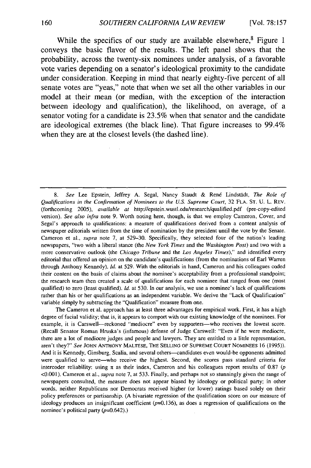While the specifics of our study are available elsewhere,<sup>8</sup> Figure 1 conveys the basic flavor of the results. The left panel shows that the probability, across the twenty-six nominees under analysis, of a favorable vote varies depending on a senator's ideological proximity to the candidate under consideration. Keeping in mind that nearly eighty-five percent of all senate votes are "yeas," note that when we set all the other variables in our model at their mean (or median, with the exception of the interaction between ideology and qualification), the likelihood, on average, of a senator voting for a candidate is 23.5% when that senator and the candidate are ideological extremes (the black line). That figure increases to 99.4% when they are at the closest levels (the dashed line).

The Cameron et al. approach has at least three advantages for empirical work. First, it has a high degree of facial validity; that is, it appears to comport with our existing knowledge of the nominees. For example, it is Carswell--reckoned "mediocre" even by supporters-who receives the lowest score. (Recall Senator Roman Hruska's (infamous) defense of Judge Carswell: "Even if he were mediocre, there are a lot of mediocre judges and people and lawyers. They are entitled to a little representation, aren't they?" *See* JOHN ANTHONY MALTESE, THE SELLING OF SUPREME COURT NOMINEES 16 (1995)). And it is Kennedy, Ginsburg, Scalia, and several others—candidates even would-be opponents admitted were qualified to serve-who receive the highest. Second, the scores pass standard criteria for intercoder reliability: using  $\pi$  as their index, Cameron and his colleagues report results of 0.87 (p <0.001). Cameron et al., supra note 7, at 533. Finally, and perhaps not so stunningly given the range of newspapers consulted, the measure does not appear biased by ideology or political party; in other words, neither Republicans nor Democrats received higher (or lower) ratings based solely on their policy preferences or partisanship. (A bivariate regression of the qualification score on our measure of ideology produces an insignificant coefficient  $(p=0.136)$ , as does a regression of qualifications on the nominee's political party  $(p=0.642)$ .)

<sup>8.</sup> See Lee Epstein, Jeffrey A. Segal, Nancy Staudt & René Lindstädt, The Role of Qualifications in the Confirmation of Nominees to the U.S. Supreme Court, 32 FLA. ST. U. L. REV. (forthcoming 2005), available at http://epstein.wustl.edu/research/qualified.pdf (pre-copy-edited version). See also infra note 9. Worth noting here, though, is that we employ Cameron, Cover, and Segal's approach to qualifications: a measure of qualifications derived from a content analysis of newspaper editorials written from the time of nomination by the president until the vote by the Senate. Cameron et al., supra note 7, at 529-30. Specifically, they selected four of the nation's leading newspapers, "two with a liberal stance (the New York Times and the Washington Post) and two with a more conservative outlook (the Chicago Tribune and the Los Angeles Times)," and identified every editorial that offered an opinion on the candidate's qualifications (from the nominations of Earl Warren through Anthony Kennedy). **Id.** at 529. With the editorials in hand, Cameron and his colleagues coded their content on the basis of claims about the nominee's acceptability from a professional standpoint; the research team then created a scale of qualifications for each nominee that ranged from one (most qualified) to zero (least qualified). *Id.* at 530. In our analysis, we use a nominee's lack of qualifications rather than his or her qualifications as an independent variable. We derive the "Lack of Qualification" variable simply by subtracting the "Qualification" measure from one.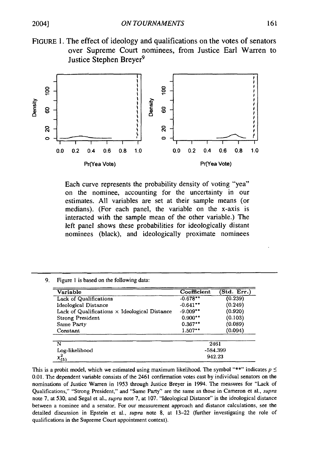



Each curve represents the probability density of voting "yea" on the nominee, accounting for the uncertainty in our estimates. All variables are set at their sample means (or medians). (For each panel, the variable on the x-axis is interacted with the sample mean of the other variable.) The left panel shows these probabilities for ideologically distant nominees (black), and ideologically proximate nominees

9. Figure 1 is based on the following data:

| Variable                                             | Coefficient | (Std. Err.) |  |  |  |  |
|------------------------------------------------------|-------------|-------------|--|--|--|--|
| <b>Lack of Qualifications</b>                        | $-0.678**$  | (0.239)     |  |  |  |  |
| Ideological Distance                                 | $-0.641**$  | (0.249)     |  |  |  |  |
| Lack of Qualifications $\times$ Ideological Distance | $-9.009**$  | (0.920)     |  |  |  |  |
| <b>Strong President</b>                              | $0.900**$   | (0.103)     |  |  |  |  |
| Same Party                                           | $0.367**$   | (0.089)     |  |  |  |  |
| Constant                                             | $1.507**$   | (0.094)     |  |  |  |  |
| N                                                    | 2461        |             |  |  |  |  |
| Log-likelihood                                       | -584.399    |             |  |  |  |  |
| $x_{(5)}^2$                                          | 942.23      |             |  |  |  |  |

This is a probit model, which we estimated using maximum likelihood. The symbol "\*\*" indicates  $p \leq$ 0.01. The dependent variable consists of the 2461 confirmation votes cast by individual senators on the nominations of Justice Warren in 1953 through Justice Breyer in 1994. The measures for "Lack of Qualifications," "Strong President," and "Same Party" are the same as those in Cameron et al., supra note 7, at 530, and Segal et al., supra note 7, at 107. "Ideological Distance" is the ideological distance between a nominee and a senator. For our measurement approach and distance calculations, see the detailed discussion in Epstein et al., *supra* note 8, at 13-22 (further investigating the role of qualifications in the Supreme Court appointment context).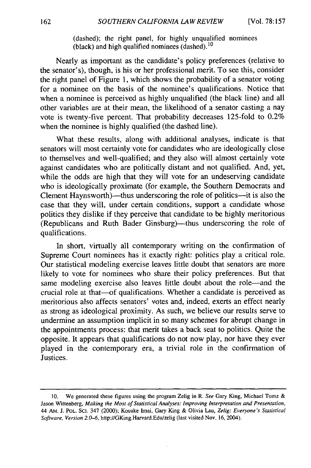(dashed); the right panel, for highly unqualified nominees (black) and high qualified nominees (dashed).<sup>10</sup>

Nearly as important as the candidate's policy preferences (relative to the senator's), though, is his or her professional merit. To see this, consider the right panel of Figure 1, which shows the probability of a senator voting for a nominee on the basis of the nominee's qualifications. Notice that when a nominee is perceived as highly unqualified (the black line) and all other variables are at their mean, the likelihood of a senator casting a nay vote is twenty-five percent. That probability decreases 125-fold to 0.2% when the nominee is highly qualified (the dashed line).

What these results, along with additional analyses, indicate is that senators will most certainly vote for candidates who are ideologically close to themselves and well-qualified; and they also will almost certainly vote against candidates who are politically distant and not qualified. And, yet, while the odds are high that they will vote for an undeserving candidate who is ideologically proximate (for example, the Southern Democrats and Clement Haynsworth)—thus underscoring the role of politics—it is also the case that they will, under certain conditions, support a candidate whose politics they dislike if they perceive that candidate to be highly meritorious (Republicans and Ruth Bader Ginsburg)-thus underscoring the role of qualifications.

In short, virtually all contemporary writing on the confirmation of Supreme Court nominees has it exactly right: politics play a critical role. Our statistical modeling exercise leaves little doubt that senators are more likely to vote for nominees who share their policy preferences. But that same modeling exercise also leaves little doubt about the role-and the crucial role at that-of qualifications. Whether a candidate is perceived as meritorious also affects senators' votes and, indeed, exerts an effect nearly as strong as ideological proximity. As such, we believe our results serve to undermine an assumption implicit in so many schemes for abrupt change in the appointments process: that merit takes a back seat to politics. Quite the opposite. It appears that qualifications do not now play, nor have they ever played in the contemporary era, a trivial role in the confirmation of Justices.

<sup>10.</sup> We generated these figures using the program Zelig in R. *See* Gary King, Michael Tomz & Jason Wittenberg, *Making the Most of Statistical Analyses: Improving Interpretation and Presentation,* 44 AM. J. POL. Sci. 347 (2000); Kosuke Imai, Gary King & Olivia Lau, *Zelig: Everyone's Statistical Software, Version 2.0-6,* http://GKing.Harvard.Edu/zelig (last visited Nov. 16, 2004).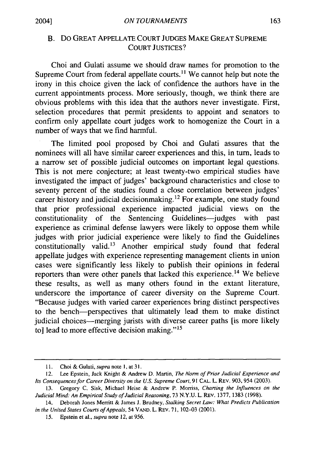## B. Do GREAT APPELLATE COURT JUDGES MAKE GREAT SUPREME COURT JUSTICES?

Choi and Gulati assume we should draw names for promotion to the Supreme Court from federal appellate courts.<sup>11</sup> We cannot help but note the irony in this choice given the lack of confidence the authors have in the current appointments process. More seriously, though, we think there are obvious problems with this idea that the authors never investigate. First, selection procedures that permit presidents to appoint and senators to confirm only appellate court judges work to homogenize the Court in a number of ways that we find harmful.

The limited pool proposed by Choi and Gulati assures that the nominees will all have similar career experiences and this, in turn, leads to a narrow set of possible judicial outcomes on important legal questions. This is not mere conjecture; at least twenty-two empirical studies have investigated the impact of judges' background characteristics and close to seventy percent of the studies found a close correlation between judges' career history and judicial decisionmaking. 12 For example, one study found that prior professional experience impacted judicial views on the constitutionality of the Sentencing Guidelines-judges with past experience as criminal defense lawyers were likely to oppose them while judges with prior judicial experience were likely to find the Guidelines constitutionally valid.<sup>13</sup> Another empirical study found that federal appellate judges with experience representing management clients in union cases were significantly less likely to publish their opinions in federal reporters than were other panels that lacked this experience.<sup>14</sup> We believe these results, as well as many others found in the extant literature, underscore the importance of career diversity on the Supreme Court. "Because judges with varied career experiences bring distinct perspectives to the bench-perspectives that ultimately lead them to make distinct judicial choices-merging jurists with diverse career paths [is more likely to] lead to more effective decision making." $15$ 

<sup>11.</sup> Choi & Gulati, supra note 1, at 31.

<sup>12.</sup> Lee Epstein, Jack Knight & Andrew D. Martin, *The Norm of Prior Judicial Experience and Its Consequences for Career Diversity on the U.S. Supreme Court,* 91 **CAL.** L. REV. 903,954 (2003).

<sup>13.</sup> Gregory C. Sisk, Michael Heise & Andrew P. Morriss, *Charting the Influences on the Judicial Mind: An Empirical Study of Judicial Reasoning,* 73 N.Y.U. L. REV. 1377, 1383 (1998).

<sup>14.</sup> Deborah Jones Merritt & James J. Brudney, *Stalking Secret Law: What Predicts Publication in the United States Courts of Appeals,* 54 VAND. L. REV. 71, 102-03 (2001).

*<sup>15.</sup>* Epstein et *al., supra* note 12, at *956.*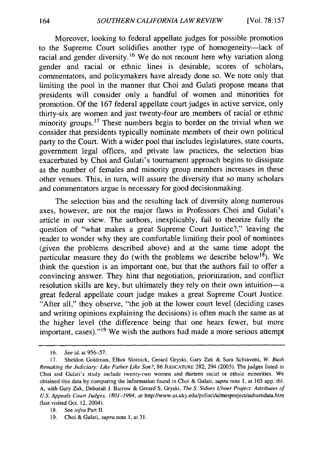Moreover, looking to federal appellate judges for possible promotion to the Supreme Court solidifies another type of homogeneity-lack of racial and gender diversity.<sup>16</sup> We do not recount here why variation along gender and racial or ethnic lines is desirable; scores of scholars, commentators, and policymakers have already done so. We note only that limiting the pool in the manner that Choi and Gulati propose means that presidents will consider only a handful of women and minorities for promotion. Of the 167 federal appellate court judges in active service, only thirty-six are women and just twenty-four are members of racial or ethnic minority groups.<sup>17</sup> These numbers begin to border on the trivial when we consider that presidents typically nominate members of their own political party to the Court. With a wider pool that includes legislatures, state courts, government legal offices, and private law practices, the selection bias exacerbated by Choi and Gulati's tournament approach begins to dissipate as the number of females and minority group members increases in these other venues. This, in turn, will assure the diversity that so many scholars and commentators argue is necessary for good decisionmaking.

The selection bias and the resulting lack of diversity along numerous axes, however, are not the major flaws in Professors Choi and Gulati's article in our view. The authors, inexplicably, fail to theorize fully the question of "what makes a great Supreme Court Justice?," leaving the reader to wonder why they are comfortable limiting their pool of nominees (given the problems described above) and at the same time adopt the particular measure they do (with the problems we describe below<sup>18</sup>). We think the question is an important one, but that the authors fail to offer a convincing answer. They hint that negotiation, prioritization, and conflict resolution skills are key, but ultimately they rely on their own intuition-a great federal appellate court judge makes a great Supreme Court Justice. "After all," they observe, "the job at the lower court level (deciding cases and writing opinions explaining the decisions) is often much the same as at the higher level (the difference being that one hears fewer, but more important, cases)."<sup>19</sup> We wish the authors had made a more serious attempt

<sup>16.</sup> *See id.* at 956-57.

<sup>17.</sup> Sheldon Goldman, Elliot Slotnick, Gerard Gryski, Gary Zuk & Sara Schiavoni, *W. Bush* Remaking the *Judiciary: Like Father Like Son?,* 86 JUDICATURE 282, 294 (2003). The judges listed in Choi and Gulati's study include twenty-two women and thirteen racial or ethnic minorities. We obtained this data by comparing the information found in Choi & Gulati, supra note 1, at 165 app. tbl. A, with Gary Zuk, Deborah J. Barrow & Gerard S. Gryski, The S. Sidney Ulmer Project: Attributes of U.S. Appeals Court Judges, 1801-1994, at http://www.as.uky.edu/polisci/ulmerproject/aubumdata.htm (last visited Oct. 12, 2004).

<sup>18.</sup> See infra Part **H.**

<sup>19.</sup> Choi & Gulati, supra note 1, at 31.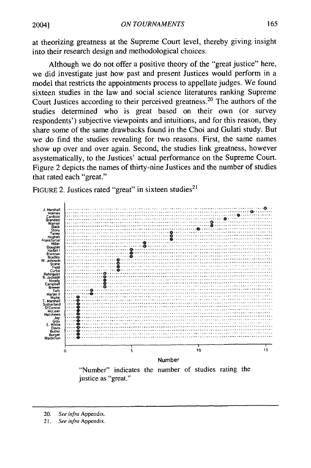at theorizing greatness at the Supreme Court level, thereby giving insight into their research design and methodological choices.

Although we do not offer a positive theory of the "great justice" here, we did investigate just how past and present Justices would perform in a model that restricts the appointments process to appellate judges. We found sixteen studies in the law and social science literatures ranking Supreme Court Justices according to their perceived greatness. 20 The authors of the studies determined who is great based on their own (or survey respondents') subjective viewpoints and intuitions, and for this reason, they share some of the same drawbacks found in the Choi and Gulati study. But we do find the studies revealing for two reasons. First, the same names show up over and over again. Second, the studies link greatness, however asystematically, to the Justices' actual performance on the Supreme Court. Figure 2 depicts the names of thirty-nine Justices and the number of studies that rated each "great."

FIGURE 2. Justices rated "great" in sixteen studies<sup>2</sup>



"Number" indicates the number of studies rating the justice as "great."

<sup>20.</sup> *See infra* Appendix.

<sup>21.</sup> *See infra* Appendix.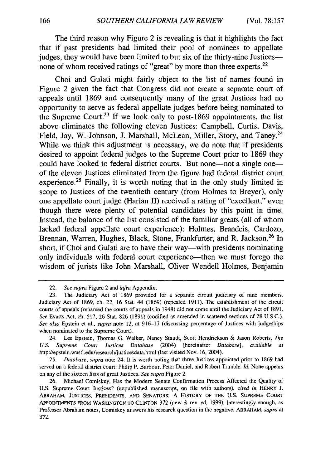The third reason why Figure 2 is revealing is that it highlights the fact that if past presidents had limited their pool of nominees to appellate judges, they would have been limited to but six of the thirty-nine Justices-none of whom received ratings of "great" by more than three experts.<sup>22</sup>

Choi and Gulati might fairly object to the list of names found in Figure 2 given the fact that Congress did not create a separate court of appeals until 1869 and consequently many of the great Justices had no opportunity to serve as federal appellate judges before being nominated to the Supreme Court.<sup>23</sup> If we look only to post-1869 appointments, the list above eliminates the following eleven Justices: Campbell, Curtis, Davis, Field, Jay, W. Johnson, J. Marshall, McLean, Miller, Story, and Taney.<sup>24</sup> While we think this adjustment is necessary, we do note that if presidents desired to appoint federal judges to the Supreme Court prior to 1869 they could have looked to federal district courts. But none—not a single one of the eleven Justices eliminated from the figure had federal district court experience.<sup>25</sup> Finally, it is worth noting that in the only study limited in scope to Justices of the twentieth century (from Holmes to Breyer), only one appellate court judge (Harlan II) received a rating of "excellent," even though there were plenty of potential candidates by this point in time. Instead, the balance of the list consisted of the familiar greats (all of whom lacked federal appellate court experience): Holmes, Brandeis, Cardozo, Brennan, Warren, Hughes, Black, Stone, Frankfurter, and R. Jackson.<sup>26</sup> In short, if Choi and Gulati are to have their way—with presidents nominating only individuals with federal court experience—then we must forego the wisdom of jurists like John Marshall, Oliver Wendell Holmes, Benjamin

24. Lee Epstein, Thomas G. Walker, Nancy Staudt, Scott Hendrickson & Jason Roberts, *The U.S. Supreme Court Justices Database* (2004) [hereinafter *Database], available at* http://epstein.wustl.edu/research/justicesdata.html (last visited Nov. **16,** 2004).

25. *Database, supra* note 24. It is worth noting that three Justices appointed prior to 1869 had served on a federal district court: Philip P. Barbour, Peter Daniel, and Robert Trimble. *Id.* None appears on any of the sixteen lists of great Justices. *See supra* Figure 2.

<sup>22.</sup> *See supra* Figure 2 and *infra* Appendix.

<sup>23.</sup> The Judiciary Act of 1869 provided for a separate circuit judiciary of nine members. Judiciary Act of 1869, ch. 22, 16 Stat. 44 (1869) (repealed 1911). The establishment of the circuit courts of appeals (renamed the courts of appeals in 1948) did not come until the Judiciary Act of 1891. *See* Evarts Act, ch. 517, 26 Stat. 826 (1891) (codified as amended in scattered sections of 28 U.S.C.). *See also* Epstein et al., *supra* note 12, at 916-17 (discussing percentage of Justices with judgeships when nominated to the Supreme Court).

<sup>26.</sup> Michael Comiskey, Has the Modem Senate Confirmation Process Affected the Quality of U.S. Supreme Court Justices? (unpublished manuscript, on file with authors), *cited in* HENRY J. ABRAHAM, **JUSTICES,** PRESIDENTS, **AND** SENATORS: **A** HISTORY **OF THE U.S.** SUPREME COURT APPOINTMENTS FROM **WASHINGTON** TO CLINTON 372 (new & rev. ed. 1999). Interestingly enough, as Professor Abraham notes, Comiskey answers his research question in the negative. ABRAHAM, *supra* at 372.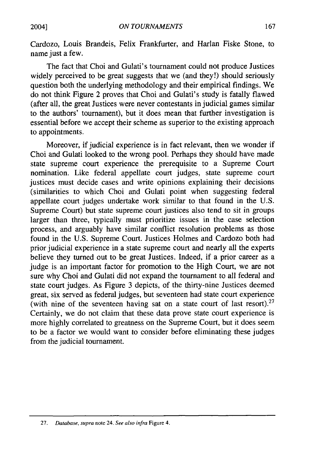Cardozo, Louis Brandeis, Felix Frankfurter, and Harlan Fiske Stone, to name just a few.

The fact that Choi and Gulati's tournament could not produce Justices widely perceived to be great suggests that we (and they!) should seriously question both the underlying methodology and their empirical findings. We do not think Figure 2 proves that Choi and Gulati's study is fatally flawed (after all, the great Justices were never contestants in judicial games similar to the authors' tournament), but it does mean that further investigation is essential before we accept their scheme as superior to the existing approach to appointments.

Moreover, if judicial experience is in fact relevant, then we wonder if Choi and Gulati looked to the wrong pool. Perhaps they should have made state supreme court experience the prerequisite to a Supreme Court nomination. Like federal appellate court judges, state supreme court justices must decide cases and write opinions explaining their decisions (similarities to which Choi and Gulati point when suggesting federal appellate court judges undertake work similar to that found in the U.S. Supreme Court) but state supreme court justices also tend to sit in groups larger than three, typically must prioritize issues in the case selection process, and arguably have similar conflict resolution problems as those found in the U.S. Supreme Court. Justices Holmes and Cardozo both had prior judicial experience in a state supreme court and nearly all the experts believe they turned out to be great Justices. Indeed, if a prior career as a judge is an important factor for promotion to the High Court, we are not sure why Choi and Gulati did not expand the tournament to all federal and state court judges. As Figure 3 depicts, of the thirty-nine Justices deemed great, six served as federal judges, but seventeen had state court experience (with nine of the seventeen having sat on a state court of last resort). $27$ Certainly, we do not claim that these data prove state court experience is more highly correlated to greatness on the Supreme Court, but it does seem to be a factor we would want to consider before eliminating these judges from the judicial tournament.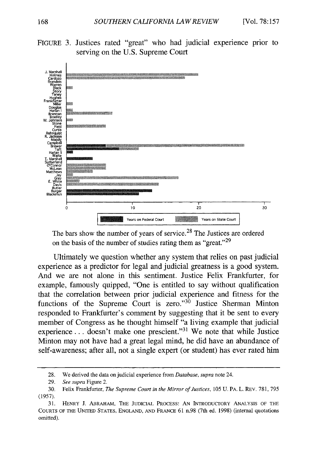



The bars show the number of years of service.<sup>28</sup> The Justices are ordered on the basis of the number of studies rating them as "great."<sup>29</sup>

Ultimately we question whether any system that relies on past judicial experience as a predictor for legal and judicial greatness is a good system. And we are not alone in this sentiment. Justice Felix Frankfurter, for example, famously quipped, "One is entitled to say without qualification that the correlation between prior judicial experience and fitness for the functions of the Supreme Court is zero." $30$  Justice Sherman Minton responded to Frankfurter's comment **by** suggesting that it be sent to every member of Congress as he thought himself "a living example that judicial experience... doesn't make one prescient."<sup>31</sup> We note that while Justice Minton may not have had a great legal mind, he did have an abundance of self-awareness; after all, not a single expert (or student) has ever rated him

**<sup>28.</sup>** We derived the data on judicial experience from *Database, supra* note 24.

**<sup>29.</sup>** *See supra* Figure 2.

**<sup>30.</sup>** Felix Frankfurter, *The Supreme Court in the Mirror of Justices,* **105 U.** PA. L. REV. **781, 795 (1957).**

**<sup>31.</sup>** HENRY **J.** ABRAHAM, THE **JUDICIAL PROCESS: AN** INTRODUCTORY **ANALYSIS** OF THE **COURTS** OF THE UNITED **STATES, ENGLAND, AND FRANCE 61** n.98 (7th ed. **1998)** (internal quotations omitted).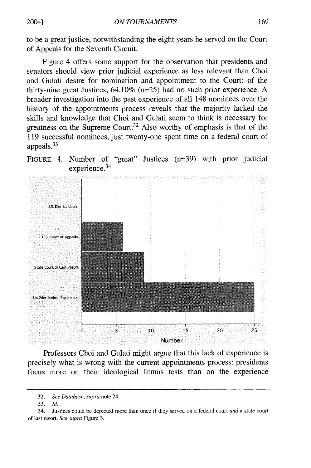to be a great justice, notwithstanding the eight years he served on the Court of Appeals for the Seventh Circuit.

Figure 4 offers some support for the observation that presidents and senators should view prior judicial experience as less relevant than Choi and Gulati desire for nomination and appointment to the Court: of the thirty-nine great Justices, 64.10% (n=25) had no such prior experience. A broader investigation into the past experience of all 148 nominees over the history of the appointments process reveals that the majority lacked the skills and knowledge that Choi and Gulati seem to think is necessary for greatness on the Supreme Court.<sup>32</sup> Also worthy of emphasis is that of the 119 successful nominees, just twenty-one spent time on a federal court of appeals. <sup>33</sup>

FIGURE 4. Number of "great" Justices (n=39) with prior judicial experience.<sup>34</sup>



Professors Choi and Gulati might argue that this lack of experience is precisely what is wrong with the current appointments process: presidents focus more on their ideological litmus tests than on the experience

20041

<sup>32.</sup> *See Database, supra* note 24.

<sup>33.</sup> *Id.*

<sup>34.</sup> Justices could be depicted more than once if they served on a federal court *and* a state court of last resort. *See supra* Figure 3.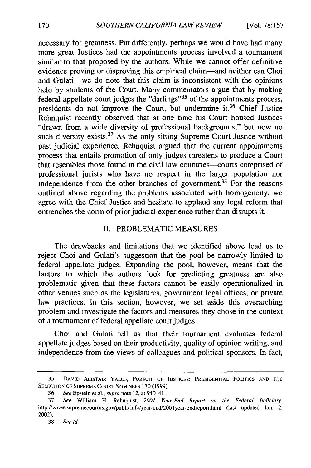necessary for greatness. Put differently, perhaps we would have had many more great Justices had the appointments process involved a tournament similar to that proposed by the authors. While we cannot offer definitive evidence proving or disproving this empirical claim-and neither can Choi and Gulati-we do note that this claim is inconsistent with the opinions held by students of the Court. Many commentators argue that by making federal appellate court judges the "darlings"<sup>35</sup> of the appointments process, presidents do not improve the Court, but undermine it.<sup>36</sup> Chief Justice Rehnquist recently observed that at one time his Court housed Justices "drawn from a wide diversity of professional backgrounds," but now no such diversity exists.<sup>37</sup> As the only sitting Supreme Court Justice without past judicial experience, Rehnquist argued that the current appointments process that entails promotion of only judges threatens to produce a Court that resembles those found in the civil law countries-courts comprised of professional jurists who have no respect in the larger population nor independence from the other branches of government.<sup>38</sup> For the reasons outlined above regarding the problems associated with homogeneity, we agree with the Chief Justice and hesitate to applaud any legal reform that entrenches the norm of prior judicial experience rather than disrupts it.

#### II. PROBLEMATIC MEASURES

The drawbacks and limitations that we identified above lead us to reject Choi and Gulati's suggestion that the pool be narrowly limited to federal appellate judges. Expanding the pool, however, means that the factors to which the authors look for predicting greatness are also problematic given that these factors cannot be easily operationalized in other venues such as the legislatures, government legal offices, or private law practices. In this section, however, we set aside this overarching problem and investigate the factors and measures they chose in the context of a tournament of federal appellate court judges.

Choi and Gulati tell us that their tournament evaluates federal appellate judges based on their productivity, quality of opinion writing, and independence from the views of colleagues and political sponsors. In fact,

<sup>35.</sup> **DAVID** ALISTAIR YALOF, **PURSUIT** OF **JUSTICES: PRESIDENTIAL POLITICS AND** THE **SELECTION** OF **SUPREME COURT** NOMINEES 170 (1999).

<sup>36.</sup> *See* Epstein et al., *supra* note 12, at 940-41.

<sup>37.</sup> *See* William H. Rehnquist, *2001 Year-End Report on the Federal Judiciary,* http://www.supremecourtus.gov/publicinfo/year-end/2001year-endreport.html (last updated Jan. 2, 2002).

<sup>38.</sup> *See id.*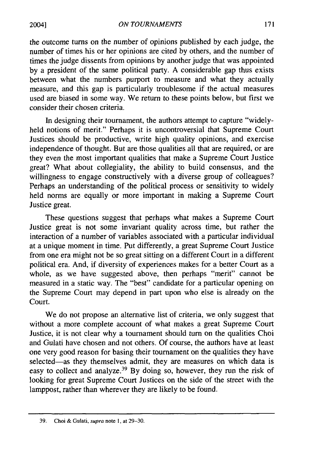the outcome turns on the number of opinions published by each judge, the number of times his or her opinions are cited by others, and the number of times the judge dissents from opinions by another judge that was appointed by a president of the same political party. A considerable gap thus exists between what the numbers purport to measure and what they actually measure, and this gap is particularly troublesome if the actual measures used are biased in some way. We return to these points below, but first we consider their chosen criteria.

In designing their tournament, the authors attempt to capture "widelyheld notions of merit." Perhaps it is uncontroversial that Supreme Court Justices should be productive, write high quality opinions, and exercise independence of thought. But are those qualities all that are required, or are they even the most important qualities that make a Supreme Court Justice great? What about collegiality, the ability to build consensus, and the willingness to engage constructively with a diverse group of colleagues? Perhaps an understanding of the political process or sensitivity to widely held norms are equally or more important in making a Supreme Court Justice great.

These questions suggest that perhaps what makes a Supreme Court Justice great is not some invariant quality across time, but rather the interaction of a number of variables associated with a particular individual at a unique moment in time. Put differently, a great Supreme Court Justice from one era might not be so great sitting on a different Court in a different political era. And, if diversity of experiences makes for a better Court as a whole, as we have suggested above, then perhaps "merit" cannot be measured in a static way. The "best" candidate for a particular opening on the Supreme Court may depend in part upon who else is already on the Court.

We do not propose an alternative list of criteria, we only suggest that without a more complete account of what makes a great Supreme Court Justice, it is not clear why a tournament should turn on the qualities Choi and Gulati have chosen and not others. Of course, the authors have at least one very good reason for basing their tournament on the qualities they have selected-as they themselves admit, they are measures on which data is easy to collect and analyze.<sup>39</sup> By doing so, however, they run the risk of looking for great Supreme Court Justices on the side of the street with the lamppost, rather than wherever they are likely to be found.

<sup>39.</sup> Choi & Gulati, supra note 1, at 29-30.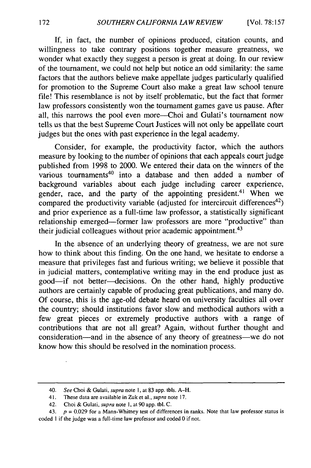If, in fact, the number of opinions produced, citation counts, and willingness to take contrary positions together measure greatness, we wonder what exactly they suggest a person is great at doing. In our review of the tournament, we could not help but notice an odd similarity: the same factors that the authors believe make appellate judges particularly qualified for promotion to the Supreme Court also make a great law school tenure file! This resemblance is not by itself problematic, but the fact that former law professors consistently won the tournament games gave us pause. After all, this narrows the pool even more-Choi and Gulati's tournament now tells us that the best Supreme Court Justices will not only be appellate court judges but the ones with past experience in the legal academy.

Consider, for example, the productivity factor, which the authors measure by looking to the number of opinions that each appeals court judge published from 1998 to 2000. We entered their data on the winners of the various tournaments<sup>40</sup> into a database and then added a number of background variables about each judge including career experience, gender, race, and the party of the appointing president.<sup>41</sup> When we compared the productivity variable (adjusted for intercircuit differences<sup>42</sup>) and prior experience as a full-time law professor, a statistically significant relationship emerged-former law professors are more "productive" than their judicial colleagues without prior academic appointment.<sup>43</sup>

In the absence of an underlying theory of greatness, we are not sure how to think about this finding. On the one hand, we hesitate to endorse a measure that privileges fast and furious writing; we believe it possible that in judicial matters, contemplative writing may in the end produce just as good-if not better-decisions. On the other hand, highly productive authors are certainly capable of producing great publications, and many do. Of course, this is the age-old debate heard on university faculties all over the country; should institutions favor slow and methodical authors with a few great pieces or extremely productive authors with a range of contributions that are not all great? Again, without further thought and consideration-and in the absence of any theory of greatness-we do not know how this should be resolved in the nomination process.

<sup>40.</sup> See Choi & Gulati, supra note **1,** at 83 app. tbls. A-H.

<sup>41.</sup> These data are available in Zuk et al., *supra* note 17.

<sup>42.</sup> Choi & Gulati, supra note **1,** at 90 app. tbl. C.

<sup>43.</sup>  $p = 0.029$  for a Mann-Whitney test of differences in ranks. Note that law professor status is coded **I** if the judge was a full-time law professor and coded 0 if not.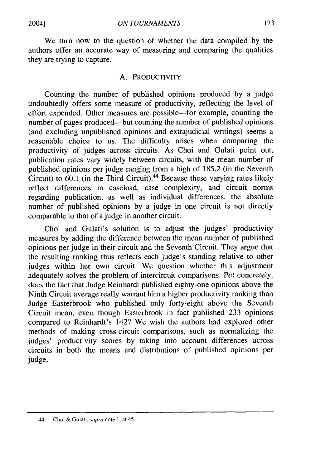We turn now to the question of whether the data compiled by the authors offer an accurate way of measuring and comparing the qualities they are trying to capture.

#### A. PRODUCTIVITY

Counting the number of published opinions produced by a judge undoubtedly offers some measure of productivity, reflecting the level of effort expended. Other measures are possible-for example, counting the number of pages produced—but counting the number of published opinions (and excluding unpublished opinions and extrajudicial writings) seems a reasonable choice to us. The difficulty arises when comparing the productivity of judges across circuits. As Choi and Gulati point out, publication rates vary widely between circuits, with the mean number of published opinions per judge ranging from a high of 185.2 (in the Seventh Circuit) to 60.1 (in the Third Circuit). 44 Because these varying rates likely reflect differences in caseload, case complexity, and circuit norms regarding publication, as well as individual differences, the absolute number of published opinions by a judge in one circuit is not directly comparable to that of a judge in another circuit.

Choi and Gulati's solution is to adjust the judges' productivity measures by adding the difference between the mean number of published opinions per judge in their circuit and the Seventh Circuit. They argue that the resulting ranking thus reflects each judge's standing relative to other judges within her own circuit. We question whether this adjustment adequately solves the problem of intercircuit comparisons. Put concretely, does the fact that Judge Reinhardt published eighty-one opinions above the Ninth Circuit average really warrant him a higher productivity ranking than Judge Easterbrook who published only forty-eight above the Seventh Circuit mean, even though Easterbrook in fact published 233 opinions compared to Reinhardt's 142? We wish the authors had explored other methods of making cross-circuit comparisons, such as normalizing the judges' productivity scores by taking into account differences across circuits in both the means and distributions of published opinions per judge.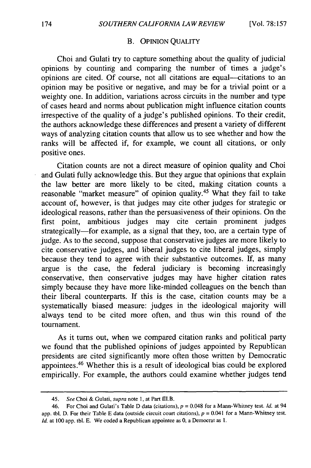#### B. **OPINION QUALITY**

Choi and Gulati try to capture something about the quality of judicial opinions by counting and comparing the number of times a judge's opinions are cited. Of course, not all citations are equal--citations to an opinion may be positive or negative, and may be for a trivial point or a weighty one. In addition, variations across circuits in the number and type of cases heard and norms about publication might influence citation counts irrespective of the quality of a judge's published opinions. To their credit, the authors acknowledge these differences and present a variety of different ways of analyzing citation counts that allow us to see whether and how the ranks will be affected if, for example, we count all citations, or only positive ones.

Citation counts are not a direct measure of opinion quality and Choi and Gulati fully acknowledge this. But they argue that opinions that explain the law better are more likely to be cited, making citation counts a reasonable "market measure" of opinion quality.45 What they fail to take account of, however, is that judges may cite other judges for strategic or ideological reasons, rather than the persuasiveness of their opinions. On the first point, ambitious judges may cite certain prominent judges strategically-for example, as a signal that they, too, are a certain type of judge. As to the second, suppose that conservative judges are more likely to cite conservative judges, and liberal judges to cite liberal judges, simply because they tend to agree with their substantive outcomes. If, as many argue is the case, the federal judiciary is becoming increasingly conservative, then conservative judges may have higher citation rates simply because they have more like-minded colleagues on the bench than their liberal counterparts. If this is the case, citation counts may be a systematically biased measure: judges in the ideological majority will always tend to be cited more often, and thus win this round of the tournament.

As it turns out, when we compared citation ranks and political party we found that the published opinions of judges appointed by Republican presidents are cited significantly more often those written by Democratic appointees. 46 Whether this is a result of ideological bias could be explored empirically. For example, the authors could examine whether judges tend

<sup>45.</sup> *See* Choi & Gulati, *supra* note **1,** at Part IL.B.

<sup>46.</sup> For Choi and Gulati's Table D data (citations), *p* = 0.048 for a Mann-Whitney test. *Id.* at 94 app. tbl. D. For their Table E data (outside circuit court citations),  $p = 0.041$  for a Mann-Whitney test. *Id.* at 100 app. tbl. E. We coded a Republican appointee as 0, a Democrat as 1.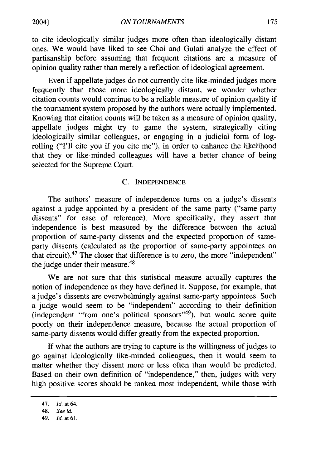to cite ideologically similar judges more often than ideologically distant ones. We would have liked to see Choi and Gulati analyze the effect of partisanship before assuming that frequent citations are a measure of opinion quality rather than merely a reflection of ideological agreement.

Even if appellate judges do not currently cite like-minded judges more frequently than those more ideologically distant, we wonder whether citation counts would continue to be a reliable measure of opinion quality if the tournament system proposed by the authors were actually implemented. Knowing that citation counts will be taken as a measure of opinion quality, appellate judges might try to game the system, strategically citing ideologically similar colleagues, or engaging in a judicial form of logrolling ("I'll cite you if you cite me"), in order to enhance the likelihood that they or like-minded colleagues will have a better chance of being selected for the Supreme Court.

#### C. INDEPENDENCE

The authors' measure of independence turns on a judge's dissents against a judge appointed by a president of the same party ("same-party dissents" for ease of reference). More specifically, they assert that independence is best measured by the difference between the actual proportion of same-party dissents and the expected proportion of sameparty dissents (calculated as the proportion of same-party appointees on that circuit).47 The closer that difference is to zero, the more "independent" the judge under their measure.<sup>48</sup>

We are not sure that this statistical measure actually captures the notion of independence as they have defined it. Suppose, for example, that a judge's dissents are overwhelmingly against same-party appointees. Such a judge would seem to be "independent" according to their definition (independent "from one's political sponsors"<sup>49</sup>), but would score quite poorly on their independence measure, because the actual proportion of same-party dissents would differ greatly from the expected proportion.

**If** what the authors are trying to capture is the willingness of judges to go against ideologically like-minded colleagues, then it would seem to matter whether they dissent more or less often than would be predicted. Based on their own definition of "independence," then, judges with very high positive scores should be ranked most independent, while those with

<sup>47.</sup> **Id.** at 64.

<sup>48.</sup> See id.

<sup>49.</sup> **Id.** at 61.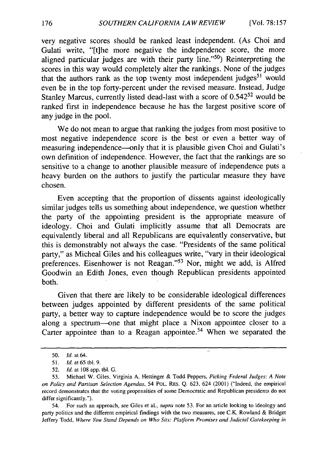very negative scores should be ranked least independent. (As Choi and Gulati write, "[t]he more negative the independence score, the more aligned particular judges are with their party line." $50$ ) Reinterpreting the scores in this way would completely alter the rankings. None of the judges that the authors rank as the top twenty most independent judges<sup>51</sup> would even be in the top forty-percent under the revised measure. Instead, Judge Stanley Marcus, currently listed dead-last with a score of 0.542<sup>52</sup> would be ranked first in independence because he has the largest positive score of any judge in the pool.

We do not mean to argue that ranking the judges from most positive to most negative independence score is the best or even a better way of measuring independence—only that it is plausible given Choi and Gulati's own definition of independence. However, the fact that the rankings are so sensitive to a change to another plausible measure of independence puts a heavy burden on the authors to justify the particular measure they have chosen.

Even accepting that the proportion of dissents against ideologically similar judges tells us something about independence, we question whether the party of the appointing president is the appropriate measure of ideology. Choi and Gulati implicitly assume that all Democrats are equivalently liberal and all Republicans are equivalently conservative, but this is demonstrably not always the case. "Presidents of the same political party," as Micheal Giles and his colleagues write, "vary in their ideological preferences. Eisenhower is not Reagan."<sup>53</sup> Nor, might we add, is Alfred Goodwin an Edith Jones, even though Republican presidents appointed both.

Given that there are likely to be considerable ideological differences between judges appointed by different presidents of the same political party, a better way to capture independence would be to score the judges along a spectrum--one that might place a Nixon appointee closer to a Carter appointee than to a Reagan appointee.<sup>54</sup> When we separated the

Ţ,

54. For such an approach, see Giles et al., *supra* note 53. For an article looking to ideology and party politics and the different empirical findings with the two measures, see C.K. Rowland & Bridget Jeffery Todd, *Where You Stand Depends on Who Sits: Platform Promises and Judicial Gatekeeping in*

<sup>50.</sup> **Id.** at 64.

<sup>51.</sup> *Id.* at 65 tbl. 9.

<sup>52.</sup> **Id.** at 108 app. tbl. **G.**

<sup>53.</sup> Michael W. Giles, Virginia A. Hettinger & Todd Peppers, Picking Federal Judges: *A Note on Policy and Partisan Selection Agendas,* 54 POL. RES. Q. 623, 624 (2001) ("Indeed, the empirical record demonstrates that the voting propensities of some Democratic and Republican presidents do not differ significantly.").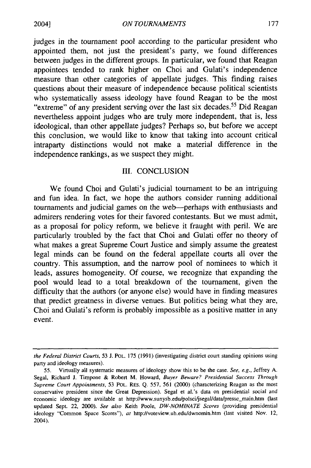judges in the tournament pool according to the particular president who appointed them, not just the president's party, we found differences between judges in the different groups. In particular, we found that Reagan appointees tended to rank higher on Choi and Gulati's independence measure than other categories of appellate judges. This finding raises questions about their measure of independence because political scientists who systematically assess ideology have found Reagan to be the most "extreme" of any president serving over the last six decades.<sup>55</sup> Did Reagan nevertheless appoint judges who are truly more independent, that is, less ideological, than other appellate judges? Perhaps so, but before we accept this conclusion, we would like to know that taking into account critical intraparty distinctions would not make a material difference in the independence rankings, as we suspect they might.

#### III. CONCLUSION

We found Choi and Gulati's judicial tournament to be an intriguing and fun idea. In fact, we hope the authors consider running additional tournaments and judicial games on the web-perhaps with enthusiasts and admirers rendering votes for their favored contestants. But we must admit, as a proposal for policy reform, we believe it fraught with peril. We are particularly troubled by the fact that Choi and Gulati offer no theory of what makes a great Supreme Court Justice and simply assume the greatest legal minds can be found on the federal appellate courts all over the country. This assumption, and the narrow pool of nominees to which it leads, assures homogeneity. Of course, we recognize that expanding the pool would lead to a total breakdown of the tournament, given the difficulty that the authors (or anyone else) would have in finding measures that predict greatness in diverse venues. But politics being what they are, Choi and Gulati's reform is probably impossible as a positive matter in any event.

*the Federal District Courts,* 53 J. POL. 175 (1991) (investigating district court standing opinions using party and ideology measures).

<sup>55.</sup> Virtually all systematic measures of ideology show this to be the case. *See, e.g.,* Jeffrey A. Segal, Richard J. Timpone & Robert M. Howard, *Buyer Beware? Presidential Success Through Supreme Court Appointments,* 53 POL. RES. Q. 557, 561 (2000) (characterizing Reagan as the most conservative president since the Great Depression). Segal et al.'s data on presidential social and economic ideology are available at http://www.sunysb.edu/polsci/jsegal/data/pressc\_main.htm (last updated Sept. 22, 2000). *See also* Keith Poole, *DW-NOMINATE Scores* (providing presidential ideology "Common Space Scores"), *at* http://voteview.uh.edu/dwnomin.htm (last visited Nov. 12, 2004).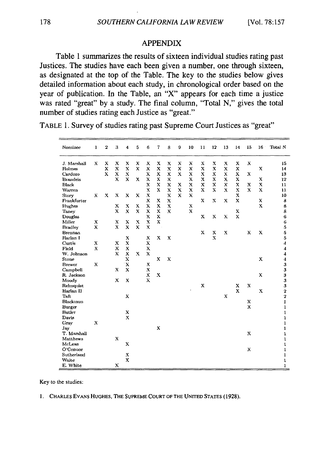#### **APPENDIX**

Table **1** summarizes the results of sixteen individual studies rating past Justices. The studies have each been given a number, one through sixteen, as designated at the top of the Table. The key to the studies below gives detailed information about each study, in chronological order based on the year of publication. In the Table, an **"X"** appears for each time a justice was rated "great" **by** a study. The final column, "Total **N,"** gives the total number of studies rating each Justice as "great."

TABLE **1.** Survey of studies rating past Supreme Court Justices as "great"

| Nominee                         | 1           | $\mathbf 2$ | 3             | 4                          | 5           | 6                              | 7           | 8      | 9           | 10                             | 11          | 12                        | 13                        | 14                                       | 15           | 16               | Total N                 |
|---------------------------------|-------------|-------------|---------------|----------------------------|-------------|--------------------------------|-------------|--------|-------------|--------------------------------|-------------|---------------------------|---------------------------|------------------------------------------|--------------|------------------|-------------------------|
| J. Marshall                     | $\mathbf x$ | X           | x             | X                          | x           | x                              | х           | X      | х           | X                              | $\mathbf x$ | $\boldsymbol{\mathsf{x}}$ | x                         | x                                        | $\mathbf x$  |                  | 15                      |
| Holmes                          |             | x           | $\mathbf x$   | X                          | X           | X                              | $\mathbf x$ | X      | X           | X                              | X           | x                         | $\mathbf x$               | X                                        |              | x                | 14                      |
| Cardozo                         |             | $\mathbf x$ | X<br>$\bf{x}$ | X<br>$\mathbf{x}$          |             | X                              | x           | X<br>X | $\mathbf x$ | $\boldsymbol{\mathsf{x}}$      | X<br>x      | X<br>X                    | x<br>$\mathbf x$          | x                                        | х            |                  | 13                      |
| <b>Brandeis</b><br><b>Black</b> |             |             |               |                            | x           | $\boldsymbol{\mathsf{x}}$<br>X | X<br>X      | X      | x           | $\boldsymbol{\mathsf{x}}$<br>x | X           | x                         | x                         | $\boldsymbol{\mathsf{x}}$<br>$\mathbf x$ | x            | X<br>$\mathbf x$ | 12<br>11                |
| Warren                          |             |             |               |                            |             | X                              | $\bf{x}$    | X      | $\mathbf x$ | X                              | x           | X                         | X                         | $\bf{x}$                                 | $\mathbf x$  | X                | 11.                     |
| Story                           | X           | X           | X             | X                          | x           | x                              |             | X      | X           | X                              |             |                           |                           | $\mathbf x$                              |              |                  | 10                      |
| Frankfurter                     |             |             |               |                            |             | x                              | x           | X      |             |                                | x           | x                         | $\boldsymbol{\mathsf{x}}$ | $\mathbf x$                              |              | X                | 8                       |
| Hughes                          |             |             | x             | x                          | x           | x                              | x           | X      |             | x                              |             |                           |                           |                                          |              | X                | 8                       |
| Tanev                           |             |             | $\mathbf x$   | X                          | $\mathbf x$ | x                              | $\mathbf x$ | X      |             | $\mathbf x$                    |             |                           |                           | X                                        |              |                  | 8                       |
| Douglas                         |             |             |               |                            |             | x                              | х           |        |             |                                | x           | x                         | Х                         | $\mathbf{x}$                             |              |                  | 6                       |
| Miller                          | $\bf X$     |             | X             | $\mathbf x$                | x           | x                              | X           |        |             |                                |             |                           |                           |                                          |              |                  | 6                       |
| <b>Bradley</b>                  | X           |             | $\mathbf x$   | X                          | X           | X                              |             |        |             |                                |             |                           |                           |                                          |              |                  | 5                       |
| Brennan                         |             |             |               |                            |             |                                |             |        |             |                                | x           | x                         | X                         |                                          | $\mathbf x$  | X                | 5                       |
| Harlan I                        |             |             |               | X                          |             | x                              | x           | X      |             |                                |             | $\bf x$                   |                           |                                          |              |                  | 5                       |
| Curtis                          | X           |             | x             | $\mathbf x$                |             | X                              |             |        |             |                                |             |                           |                           |                                          |              |                  | 4                       |
| Field                           | X           |             | $\mathbf x$   | X                          |             | $\mathbf{x}$                   |             |        |             |                                |             |                           |                           |                                          |              |                  | 4                       |
| W. Johnson                      |             |             | $\mathbf x$   | X                          | x           | $\mathbf{x}$                   |             |        |             |                                |             |                           |                           |                                          |              |                  | $\boldsymbol{4}$        |
| Stone                           | $\mathbf x$ |             |               | X                          |             |                                | X           | x      |             |                                |             |                           |                           |                                          |              | X                | $\boldsymbol{4}$        |
| <b>Brewer</b>                   |             |             | $\bf{x}$      | $\mathbf x$<br>$\mathbf x$ |             | X<br>$\mathbf x$               |             |        |             |                                |             |                           |                           |                                          |              |                  | 3                       |
| Campbell<br>R. Jackson          |             |             |               |                            |             | X                              | $\bf x$     |        |             |                                |             |                           |                           |                                          |              | $\mathbf x$      | 3<br>3                  |
| Moody                           |             |             | x             | X                          |             | $\mathbf{x}$                   |             |        |             |                                |             |                           |                           |                                          |              |                  | 3                       |
| Rehnquist                       |             |             |               |                            |             |                                |             |        |             |                                | x           |                           |                           | $\boldsymbol{\mathsf{x}}$                | $\mathbf x$  |                  | 3                       |
| Harlan II                       |             |             |               |                            |             |                                |             |        |             |                                |             |                           |                           | $\mathbf{x}$                             |              | X                | $\boldsymbol{2}$        |
| Taft                            |             |             |               | x                          |             |                                |             |        |             |                                |             |                           | X                         |                                          |              |                  | $\overline{\mathbf{2}}$ |
| Blackmun                        |             |             |               |                            |             |                                |             |        |             |                                |             |                           |                           |                                          | x            |                  | $\mathbf{I}$            |
| Burger                          |             |             |               |                            |             |                                |             |        |             |                                |             |                           |                           |                                          | $\mathbf{x}$ |                  | $\mathbf 1$             |
| Butler                          |             |             |               | x                          |             |                                |             |        |             |                                |             |                           |                           |                                          |              |                  | 1                       |
| Davis                           |             |             |               | $\mathbf x$                |             |                                |             |        |             |                                |             |                           |                           |                                          |              |                  | 1                       |
| Gray                            | $\bf{x}$    |             |               |                            |             |                                |             |        |             |                                |             |                           |                           |                                          |              |                  | 1                       |
| Jav                             |             |             |               |                            |             |                                | x           |        |             |                                |             |                           |                           |                                          |              |                  | $\mathbf 1$             |
| T. Marshall                     |             |             |               |                            |             |                                |             |        |             |                                |             |                           |                           |                                          | x            |                  | 1                       |
| Matthews                        |             |             | $\mathbf x$   |                            |             |                                |             |        |             |                                |             |                           |                           |                                          |              |                  | $\mathbf 1$             |
| McLean                          |             |             |               | $\mathbf x$                |             |                                |             |        |             |                                |             |                           |                           |                                          |              |                  | 1                       |
| O'Connor                        |             |             |               |                            |             |                                |             |        |             |                                |             |                           |                           |                                          | х            |                  | 1                       |
| Sutherland<br>Waite             |             |             |               | X<br>X                     |             |                                |             |        |             |                                |             |                           |                           |                                          |              |                  | 1                       |
| E. White                        |             |             | X             |                            |             |                                |             |        |             |                                |             |                           |                           |                                          |              |                  | ı<br>$\mathbf 1$        |
|                                 |             |             |               |                            |             |                                |             |        |             |                                |             |                           |                           |                                          |              |                  |                         |

Key to the studies:

**1.** CHARLES **EvANs HUGHES,** THE **SUPREME COURT** OF THE UNITED **STATES (1928).**